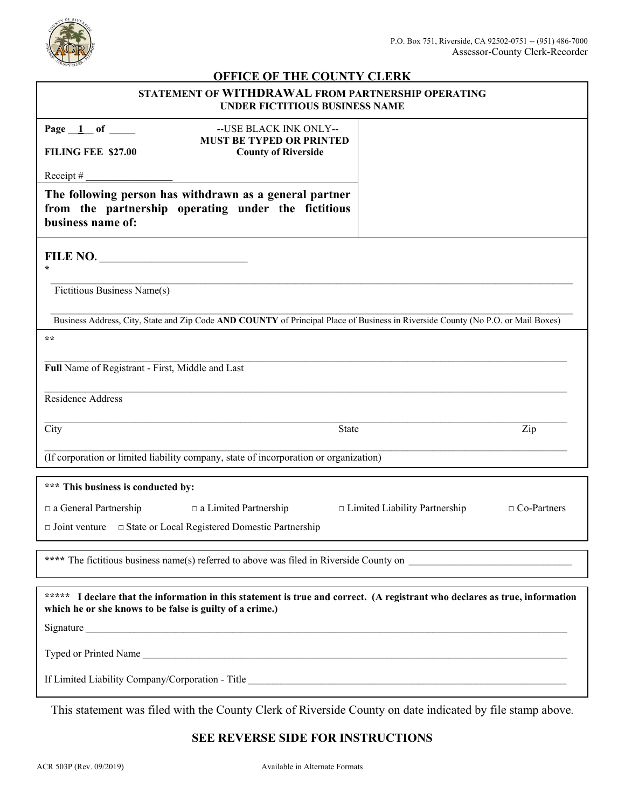

| <b>OFFICE OF THE COUNTY CLERK</b>                                                                                                                                                                                                                                                                                                                                                                                            |                                      |                    |
|------------------------------------------------------------------------------------------------------------------------------------------------------------------------------------------------------------------------------------------------------------------------------------------------------------------------------------------------------------------------------------------------------------------------------|--------------------------------------|--------------------|
| STATEMENT OF WITHDRAWAL FROM PARTNERSHIP OPERATING<br>UNDER FICTITIOUS BUSINESS NAME                                                                                                                                                                                                                                                                                                                                         |                                      |                    |
| --USE BLACK INK ONLY--<br>Page $1$ of $\frac{1}{1}$<br><b>MUST BE TYPED OR PRINTED</b>                                                                                                                                                                                                                                                                                                                                       |                                      |                    |
| <b>FILING FEE \$27.00</b><br><b>County of Riverside</b>                                                                                                                                                                                                                                                                                                                                                                      |                                      |                    |
| Receipt#                                                                                                                                                                                                                                                                                                                                                                                                                     |                                      |                    |
| The following person has withdrawn as a general partner<br>from the partnership operating under the fictitious<br>business name of:                                                                                                                                                                                                                                                                                          |                                      |                    |
| FILE NO.<br>$\star$                                                                                                                                                                                                                                                                                                                                                                                                          |                                      |                    |
| Fictitious Business Name(s)                                                                                                                                                                                                                                                                                                                                                                                                  |                                      |                    |
| Business Address, City, State and Zip Code AND COUNTY of Principal Place of Business in Riverside County (No P.O. or Mail Boxes)                                                                                                                                                                                                                                                                                             |                                      |                    |
| $**$                                                                                                                                                                                                                                                                                                                                                                                                                         |                                      |                    |
| Full Name of Registrant - First, Middle and Last                                                                                                                                                                                                                                                                                                                                                                             |                                      |                    |
| Residence Address                                                                                                                                                                                                                                                                                                                                                                                                            |                                      |                    |
| City                                                                                                                                                                                                                                                                                                                                                                                                                         | <b>State</b>                         | Zip                |
| (If corporation or limited liability company, state of incorporation or organization)                                                                                                                                                                                                                                                                                                                                        |                                      |                    |
| *** This business is conducted by:                                                                                                                                                                                                                                                                                                                                                                                           |                                      |                    |
| $\Box$ a General Partnership<br>$\Box$ a Limited Partnership                                                                                                                                                                                                                                                                                                                                                                 | $\Box$ Limited Liability Partnership | $\Box$ Co-Partners |
| $\Box$ Joint venture $\Box$ State or Local Registered Domestic Partnership                                                                                                                                                                                                                                                                                                                                                   |                                      |                    |
|                                                                                                                                                                                                                                                                                                                                                                                                                              |                                      |                    |
| *****<br>I declare that the information in this statement is true and correct. (A registrant who declares as true, information<br>which he or she knows to be false is guilty of a crime.)<br>Signature entertainment and the state of the state of the state of the state of the state of the state of the state of the state of the state of the state of the state of the state of the state of the state of the state of |                                      |                    |
| Typed or Printed Name                                                                                                                                                                                                                                                                                                                                                                                                        |                                      |                    |
| If Limited Liability Company/Corporation - Title _______________________________                                                                                                                                                                                                                                                                                                                                             |                                      |                    |
|                                                                                                                                                                                                                                                                                                                                                                                                                              |                                      |                    |

This statement was filed with the County Clerk of Riverside County on date indicated by file stamp above.

## **SEE REVERSE SIDE FOR INSTRUCTIONS**